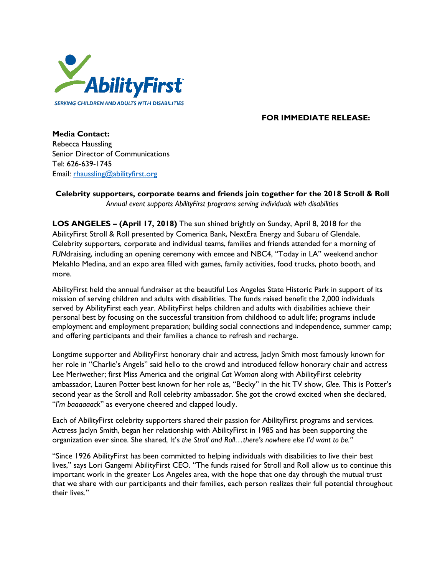

## **FOR IMMEDIATE RELEASE:**

**Media Contact:** Rebecca Haussling Senior Director of Communications Tel: 626-639-1745 Email: [rhaussling@abilityfirst.org](mailto:rhaussling@abilityfirst.org)

**Celebrity supporters, corporate teams and friends join together for the 2018 Stroll & Roll** *Annual event supports AbilityFirst programs serving individuals with disabilities*

**LOS ANGELES – (April 17, 2018)** The sun shined brightly on Sunday, April 8, 2018 for the AbilityFirst Stroll & Roll presented by Comerica Bank, NextEra Energy and Subaru of Glendale. Celebrity supporters, corporate and individual teams, families and friends attended for a morning of *FUN*draising, including an opening ceremony with emcee and NBC4, "Today in LA" weekend anchor Mekahlo Medina, and an expo area filled with games, family activities, food trucks, photo booth, and more.

AbilityFirst held the annual fundraiser at the beautiful Los Angeles State Historic Park in support of its mission of serving children and adults with disabilities. The funds raised benefit the 2,000 individuals served by AbilityFirst each year. AbilityFirst helps children and adults with disabilities achieve their personal best by focusing on the successful transition from childhood to adult life; programs include employment and employment preparation; building social connections and independence, summer camp; and offering participants and their families a chance to refresh and recharge.

Longtime supporter and AbilityFirst honorary chair and actress, Jaclyn Smith most famously known for her role in "Charlie's Angels" said hello to the crowd and introduced fellow honorary chair and actress Lee Meriwether; first Miss America and the original *Cat Woman* along with AbilityFirst celebrity ambassador, Lauren Potter best known for her role as, "Becky" in the hit TV show, *Glee*. This is Potter's second year as the Stroll and Roll celebrity ambassador. She got the crowd excited when she declared, "*I'm baaaaaack*" as everyone cheered and clapped loudly.

Each of AbilityFirst celebrity supporters shared their passion for AbilityFirst programs and services. Actress Jaclyn Smith, began her relationship with AbilityFirst in 1985 and has been supporting the organization ever since. She shared, It's *the Stroll and Roll…there's nowhere else I'd want to be."* 

"Since 1926 AbilityFirst has been committed to helping individuals with disabilities to live their best lives," says Lori Gangemi AbilityFirst CEO. "The funds raised for Stroll and Roll allow us to continue this important work in the greater Los Angeles area, with the hope that one day through the mutual trust that we share with our participants and their families, each person realizes their full potential throughout their lives."